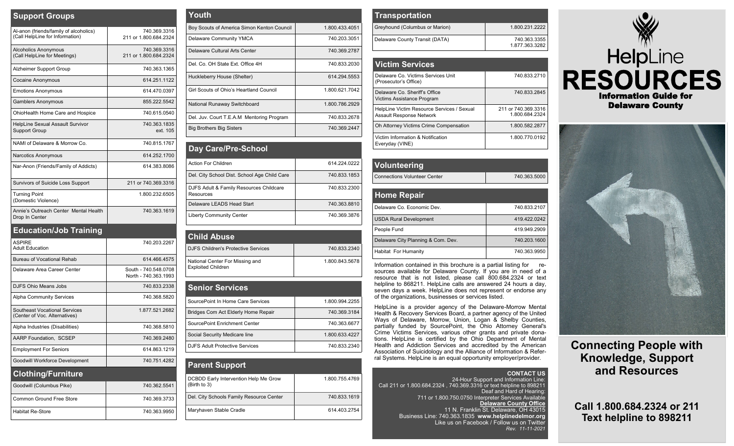| <b>Support Groups</b>                                                     |                                       |
|---------------------------------------------------------------------------|---------------------------------------|
| Al-anon (friends/family of alcoholics)<br>(Call HelpLine for Information) | 740.369.3316<br>211 or 1.800.684.2324 |
| <b>Alcoholics Anonymous</b><br>(Call HelpLine for Meetings)               | 740.369.3316<br>211 or 1.800.684.2324 |
| Alzheimer Support Group                                                   | 740.363.1365                          |
| <b>Cocaine Anonymous</b>                                                  | 614.251.1122                          |
| <b>Emotions Anonymous</b>                                                 | 614.470.0397                          |
| <b>Gamblers Anonymous</b>                                                 | 855.222.5542                          |
| OhioHealth Home Care and Hospice                                          | 740.615.0540                          |
| HelpLine Sexual Assault Survivor<br><b>Support Group</b>                  | 740.363.1835<br>ext. 105              |
| NAMI of Delaware & Morrow Co.                                             | 740.815.1767                          |
| Narcotics Anonymous                                                       | 614.252.1700                          |
| Nar-Anon (Friends/Family of Addicts)                                      | 614.383.8086                          |
| Survivors of Suicide Loss Support                                         | 211 or 740,369,3316                   |
| <b>Turning Point</b><br>(Domestic Violence)                               | 1.800.232.6505                        |
| Annie's Outreach Center Mental Health<br>Drop In Center                   | 740.363.1619                          |
| <b>Education/Job Training</b>                                             |                                       |
| <b>ASPIRE</b><br><b>Adult Education</b>                                   | 740.203.2267                          |

| ASPIRE<br><b>Adult Education</b>                               | 740 203 2267                                 |
|----------------------------------------------------------------|----------------------------------------------|
| Bureau of Vocational Rehab                                     | 614.466.4575                                 |
| Delaware Area Career Center                                    | South - 740.548.0708<br>North - 740.363.1993 |
| DJFS Ohio Means Jobs                                           | 740.833.2338                                 |
| <b>Alpha Community Services</b>                                | 740.368.5820                                 |
| Southeast Vocational Services<br>(Center of Voc. Alternatives) | 1.877.521.2682                               |
| Alpha Industries (Disabilities)                                | 740.368.5810                                 |
| AARP Foundation, SCSEP                                         | 740.369.2480                                 |
| <b>Employment For Seniors</b>                                  | 614.863.1219                                 |
| Goodwill Workforce Development                                 | 740.751.4282                                 |
| <b>Clothing/Furniture</b>                                      |                                              |
| Goodwill (Columbus Pike)                                       | 740.362.5541                                 |
| Common Ground Free Store                                       | 740.369.3733                                 |
| <b>Habitat Re-Store</b>                                        | 740.363.9950                                 |

| Youth                                      |                |
|--------------------------------------------|----------------|
| Boy Scouts of America Simon Kenton Council | 1.800.433.4051 |
| Delaware Community YMCA                    | 740.203.3051   |
| Delaware Cultural Arts Center              | 740.369.2787   |
| Del. Co. OH State Ext. Office 4H           | 740.833.2030   |
| Huckleberry House (Shelter)                | 614.294.5553   |
| Girl Scouts of Ohio's Heartland Council    | 1.800.621.7042 |
| National Runaway Switchboard               | 1.800.786.2929 |
| Del. Juv. Court T.E.A.M Mentoring Program  | 740.833.2678   |
| <b>Big Brothers Big Sisters</b>            | 740.369.2447   |

| Day Care/Pre-School                                  |              |
|------------------------------------------------------|--------------|
| Action For Children                                  | 614.224.0222 |
| Del. City School Dist. School Age Child Care         | 740.833.1853 |
| DJFS Adult & Family Resources Childcare<br>Resources | 740.833.2300 |
| Delaware LEADS Head Start                            | 740.363.8810 |
| <b>Liberty Community Center</b>                      | 740.369.3876 |

| <b>Child Abuse</b>                                           |                |
|--------------------------------------------------------------|----------------|
| <b>DJFS Children's Protective Services</b>                   | 740.833.2340   |
| National Center For Missing and<br><b>Exploited Children</b> | 1.800.843.5678 |

| <b>Senior Services</b>                |                |
|---------------------------------------|----------------|
| SourcePoint In Home Care Services     | 1.800.994.2255 |
| Bridges Com Act Elderly Home Repair   | 740.369.3184   |
| SourcePoint Enrichment Center         | 740.363.6677   |
| Social Security Medicare line         | 1.800.633.4227 |
| <b>DJFS Adult Protective Services</b> | 740.833.2340   |

| <b>Parent Support</b>                                 |                |
|-------------------------------------------------------|----------------|
| DCBDD Early Intervention Help Me Grow<br>(Birth to 3) | 1.800.755.4769 |
| Del. City Schools Family Resource Center              | 740.833.1619   |
| Maryhaven Stable Cradle                               | 614.403.2754   |

| <b>Transportation</b>          |                                |
|--------------------------------|--------------------------------|
| Greyhound (Columbus or Marion) | 1.800.231.2222                 |
| Delaware County Transit (DATA) | 740.363.3355<br>1.877.363.3282 |

| <b>Victim Services</b>                                                        |                                         |
|-------------------------------------------------------------------------------|-----------------------------------------|
| Delaware Co, Victims Services Unit<br>(Prosecutor's Office)                   | 740.833.2710                            |
| Delaware Co. Sheriff's Office<br>Victims Assistance Program                   | 740.833.2845                            |
| HelpLine Victim Resource Services / Sexual<br><b>Assault Response Network</b> | 211 or 740, 369, 3316<br>1.800.684.2324 |
| Oh Attorney Victims Crime Compensation                                        | 1.800.582.2877                          |
| Victim Information & Notification<br>Everyday (VINE)                          | 1.800.770.0192                          |

| Volunteering                        |              |
|-------------------------------------|--------------|
| <b>Connections Volunteer Center</b> | 740.363.5000 |
|                                     |              |
| <b>Home Repair</b>                  |              |
| Delaware Co. Economic Dev.          | 740.833.2107 |
|                                     |              |

| People Fund                                                     | 419.949.2909 |
|-----------------------------------------------------------------|--------------|
| Delaware City Planning & Com. Dev.                              | 740.203.1600 |
| <b>Habitat For Humanity</b>                                     | 740.363.9950 |
| Information contoined in this brooburg is a nortial ligting for |              |

Information contained in this brochure is a partial listing for resources available for Delaware County. If you are in need of a resource that is not listed, please call 800.684.2324 or text helpline to 868211. HelpLine calls are answered 24 hours a day, seven days a week. HelpLine does not represent or endorse any of the organizations, businesses or services listed*.*

HelpLine is a provider agency of the Delaware-Morrow Mental Health & Recovery Services Board, a partner agency of the United Ways of Delaware, Morrow, Union, Logan & Shelby Counties, partially funded by SourcePoint, the Ohio Attorney General's Crime Victims Services, various other grants and private donations. HelpLine is certified by the Ohio Department of Mental Health and Addiction Services and accredited by the American Association of Suicidology and the Alliance of Information & Referral Systems. HelpLine is an equal opportunity employer/provider.





**Connecting People with Knowledge, Support and Resources**

**Call 1.800.684.2324 or 211 Text helpline to 898211**